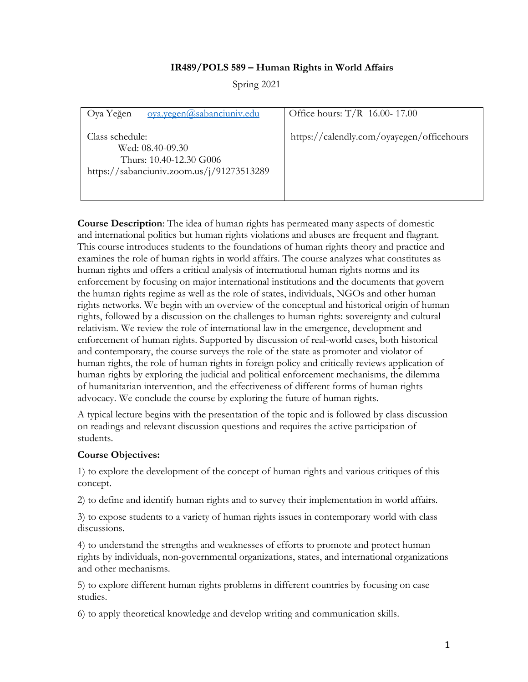### **IR489/POLS 589 – Human Rights in World Affairs**

Spring 2021

| oya.yegen@sabanciuniv.edu<br>Oya Yeğen                                                                      | Office hours: $T/R$ 16.00-17.00           |
|-------------------------------------------------------------------------------------------------------------|-------------------------------------------|
| Class schedule:<br>Wed: 08.40-09.30<br>Thurs: 10.40-12.30 G006<br>https://sabanciuniv.zoom.us/j/91273513289 | https://calendly.com/oyayegen/officehours |

**Course Description**: The idea of human rights has permeated many aspects of domestic and international politics but human rights violations and abuses are frequent and flagrant. This course introduces students to the foundations of human rights theory and practice and examines the role of human rights in world affairs. The course analyzes what constitutes as human rights and offers a critical analysis of international human rights norms and its enforcement by focusing on major international institutions and the documents that govern the human rights regime as well as the role of states, individuals, NGOs and other human rights networks. We begin with an overview of the conceptual and historical origin of human rights, followed by a discussion on the challenges to human rights: sovereignty and cultural relativism. We review the role of international law in the emergence, development and enforcement of human rights. Supported by discussion of real-world cases, both historical and contemporary, the course surveys the role of the state as promoter and violator of human rights, the role of human rights in foreign policy and critically reviews application of human rights by exploring the judicial and political enforcement mechanisms, the dilemma of humanitarian intervention, and the effectiveness of different forms of human rights advocacy. We conclude the course by exploring the future of human rights.

A typical lecture begins with the presentation of the topic and is followed by class discussion on readings and relevant discussion questions and requires the active participation of students.

#### **Course Objectives:**

1) to explore the development of the concept of human rights and various critiques of this concept.

2) to define and identify human rights and to survey their implementation in world affairs.

3) to expose students to a variety of human rights issues in contemporary world with class discussions.

4) to understand the strengths and weaknesses of efforts to promote and protect human rights by individuals, non-governmental organizations, states, and international organizations and other mechanisms.

5) to explore different human rights problems in different countries by focusing on case studies.

6) to apply theoretical knowledge and develop writing and communication skills.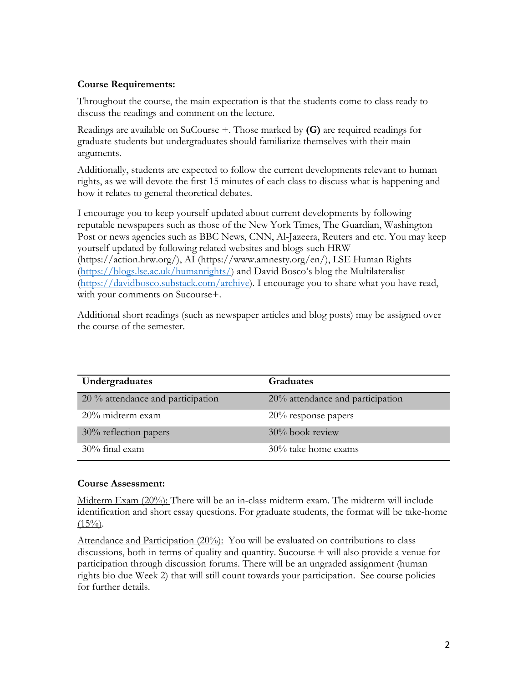### **Course Requirements:**

Throughout the course, the main expectation is that the students come to class ready to discuss the readings and comment on the lecture.

Readings are available on SuCourse +. Those marked by **(G)** are required readings for graduate students but undergraduates should familiarize themselves with their main arguments.

Additionally, students are expected to follow the current developments relevant to human rights, as we will devote the first 15 minutes of each class to discuss what is happening and how it relates to general theoretical debates.

I encourage you to keep yourself updated about current developments by following reputable newspapers such as those of the New York Times, The Guardian, Washington Post or news agencies such as BBC News, CNN, Al-Jazeera, Reuters and etc. You may keep yourself updated by following related websites and blogs such HRW (https://action.hrw.org/), AI (https://www.amnesty.org/en/), LSE Human Rights (https://blogs.lse.ac.uk/humanrights/) and David Bosco's blog the Multilateralist (https://davidbosco.substack.com/archive). I encourage you to share what you have read, with your comments on Sucourse+.

Additional short readings (such as newspaper articles and blog posts) may be assigned over the course of the semester.

| Undergraduates                    | Graduates                        |
|-----------------------------------|----------------------------------|
| 20 % attendance and participation | 20% attendance and participation |
| $20\%$ midterm exam               | $20\%$ response papers           |
| 30% reflection papers             | 30% book review                  |
| $30\%$ final exam                 | 30% take home exams              |

### **Course Assessment:**

Midterm Exam (20%): There will be an in-class midterm exam. The midterm will include identification and short essay questions. For graduate students, the format will be take-home  $(15\%)$ .

Attendance and Participation (20%): You will be evaluated on contributions to class discussions, both in terms of quality and quantity. Sucourse + will also provide a venue for participation through discussion forums. There will be an ungraded assignment (human rights bio due Week 2) that will still count towards your participation. See course policies for further details.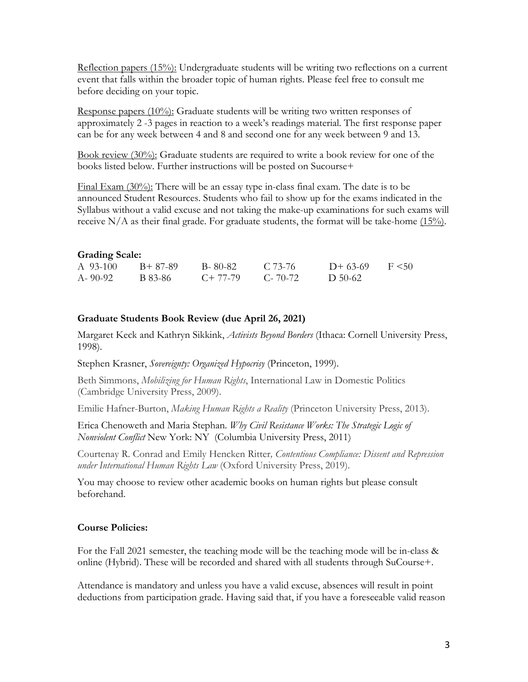Reflection papers (15%): Undergraduate students will be writing two reflections on a current event that falls within the broader topic of human rights. Please feel free to consult me before deciding on your topic.

Response papers  $(10\%)$ : Graduate students will be writing two written responses of approximately 2 -3 pages in reaction to a week's readings material. The first response paper can be for any week between 4 and 8 and second one for any week between 9 and 13.

Book review (30%): Graduate students are required to write a book review for one of the books listed below. Further instructions will be posted on Sucourse+

Final Exam (30%): There will be an essay type in-class final exam. The date is to be announced Student Resources. Students who fail to show up for the exams indicated in the Syllabus without a valid excuse and not taking the make-up examinations for such exams will receive N/A as their final grade. For graduate students, the format will be take-home  $(15\%)$ .

#### **Grading Scale:**

| A 93-100      | B+ 87-89 | B-80-82   | C 73-76       | $D+63-69$ F < 50 |  |
|---------------|----------|-----------|---------------|------------------|--|
| $A - 90 - 92$ | B 83-86  | $C+77-79$ | $C - 70 - 72$ | D 50-62          |  |

#### **Graduate Students Book Review (due April 26, 2021)**

Margaret Keck and Kathryn Sikkink, *Activists Beyond Borders* (Ithaca: Cornell University Press, 1998).

Stephen Krasner, *Sovereignty: Organized Hypocrisy* (Princeton, 1999).

Beth Simmons, *Mobilizing for Human Rights*, International Law in Domestic Politics (Cambridge University Press, 2009).

Emilie Hafner-Burton, *Making Human Rights a Reality* (Princeton University Press, 2013).

Erica Chenoweth and Maria Stephan*. Why Civil Resistance Works: The Strategic Logic of Nonviolent Conflict* New York: NY (Columbia University Press, 2011)

Courtenay R. Conrad and Emily Hencken Ritter*, Contentious Compliance: Dissent and Repression under International Human Rights Law* (Oxford University Press, 2019).

You may choose to review other academic books on human rights but please consult beforehand.

#### **Course Policies:**

For the Fall 2021 semester, the teaching mode will be the teaching mode will be in-class & online (Hybrid). These will be recorded and shared with all students through SuCourse+.

Attendance is mandatory and unless you have a valid excuse, absences will result in point deductions from participation grade. Having said that, if you have a foreseeable valid reason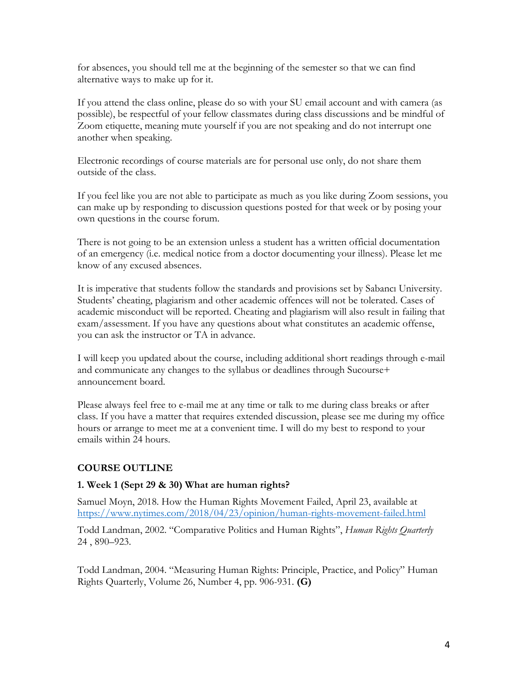for absences, you should tell me at the beginning of the semester so that we can find alternative ways to make up for it.

If you attend the class online, please do so with your SU email account and with camera (as possible), be respectful of your fellow classmates during class discussions and be mindful of Zoom etiquette, meaning mute yourself if you are not speaking and do not interrupt one another when speaking.

Electronic recordings of course materials are for personal use only, do not share them outside of the class.

If you feel like you are not able to participate as much as you like during Zoom sessions, you can make up by responding to discussion questions posted for that week or by posing your own questions in the course forum.

There is not going to be an extension unless a student has a written official documentation of an emergency (i.e. medical notice from a doctor documenting your illness). Please let me know of any excused absences.

It is imperative that students follow the standards and provisions set by Sabancı University. Students' cheating, plagiarism and other academic offences will not be tolerated. Cases of academic misconduct will be reported. Cheating and plagiarism will also result in failing that exam/assessment. If you have any questions about what constitutes an academic offense, you can ask the instructor or TA in advance.

I will keep you updated about the course, including additional short readings through e-mail and communicate any changes to the syllabus or deadlines through Sucourse+ announcement board.

Please always feel free to e-mail me at any time or talk to me during class breaks or after class. If you have a matter that requires extended discussion, please see me during my office hours or arrange to meet me at a convenient time. I will do my best to respond to your emails within 24 hours.

# **COURSE OUTLINE**

# **1. Week 1 (Sept 29 & 30) What are human rights?**

Samuel Moyn, 2018. How the Human Rights Movement Failed, April 23, available at https://www.nytimes.com/2018/04/23/opinion/human-rights-movement-failed.html

Todd Landman, 2002. "Comparative Politics and Human Rights", *Human Rights Quarterly* 24 , 890–923.

Todd Landman, 2004. "Measuring Human Rights: Principle, Practice, and Policy" Human Rights Quarterly, Volume 26, Number 4, pp. 906-931. **(G)**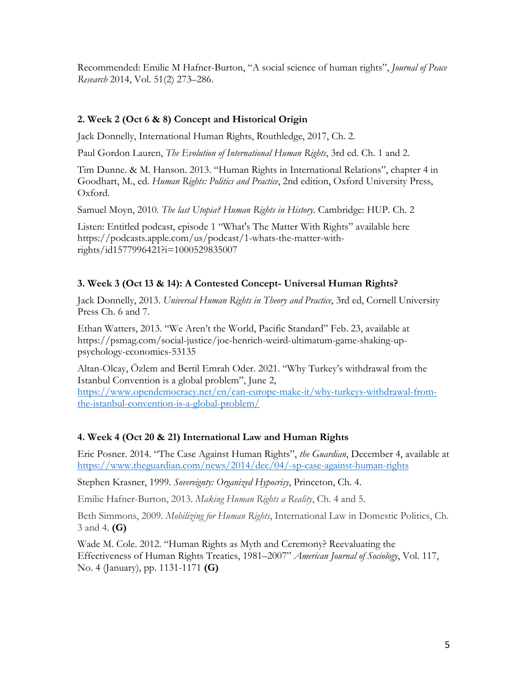Recommended: Emilie M Hafner-Burton, "A social science of human rights", *Journal of Peace Research* 2014, Vol. 51(2) 273–286.

### **2. Week 2 (Oct 6 & 8) Concept and Historical Origin**

Jack Donnelly, International Human Rights, Routhledge, 2017, Ch. 2.

Paul Gordon Lauren, *The Evolution of International Human Rights*, 3rd ed. Ch. 1 and 2.

Tim Dunne. & M. Hanson. 2013. "Human Rights in International Relations", chapter 4 in Goodhart, M., ed. *Human Rights: Politics and Practice*, 2nd edition, Oxford University Press, Oxford.

Samuel Moyn, 2010. *The last Utopia? Human Rights in History*. Cambridge: HUP. Ch. 2

Listen: Entitled podcast, episode 1 "What's The Matter With Rights" available here https://podcasts.apple.com/us/podcast/1-whats-the-matter-withrights/id1577996421?i=1000529835007

### **3. Week 3 (Oct 13 & 14): A Contested Concept- Universal Human Rights?**

Jack Donnelly, 2013. *Universal Human Rights in Theory and Practice*, 3rd ed, Cornell University Press Ch. 6 and 7.

Ethan Watters, 2013. "We Aren't the World, Pacific Standard" Feb. 23, available at https://psmag.com/social-justice/joe-henrich-weird-ultimatum-game-shaking-uppsychology-economics-53135

Altan-Olcay, Özlem and Bertil Emrah Oder. 2021. "Why Turkey's withdrawal from the Istanbul Convention is a global problem", June 2,

https://www.opendemocracy.net/en/can-europe-make-it/why-turkeys-withdrawal-fromthe-istanbul-convention-is-a-global-problem/

### **4. Week 4 (Oct 20 & 21) International Law and Human Rights**

Eric Posner. 2014. "The Case Against Human Rights", *the Guardian*, December 4, available at https://www.theguardian.com/news/2014/dec/04/-sp-case-against-human-rights

Stephen Krasner, 1999. *Sovereignty: Organized Hypocrisy*, Princeton, Ch. 4.

Emilie Hafner-Burton, 2013. *Making Human Rights a Reality*, Ch. 4 and 5.

Beth Simmons, 2009. *Mobilizing for Human Rights*, International Law in Domestic Politics, Ch. 3 and 4. **(G)**

Wade M. Cole. 2012. "Human Rights as Myth and Ceremony? Reevaluating the Effectiveness of Human Rights Treaties, 1981–2007" *American Journal of Sociology*, Vol. 117, No. 4 (January), pp. 1131-1171 **(G)**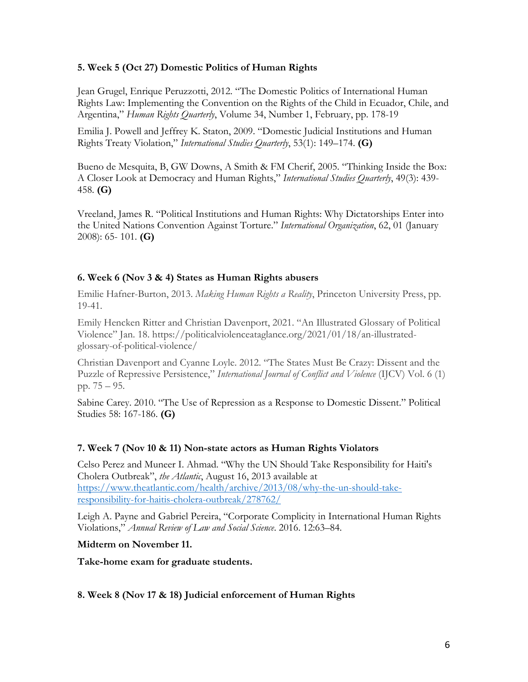### **5. Week 5 (Oct 27) Domestic Politics of Human Rights**

Jean Grugel, Enrique Peruzzotti, 2012. "The Domestic Politics of International Human Rights Law: Implementing the Convention on the Rights of the Child in Ecuador, Chile, and Argentina," *Human Rights Quarterly*, Volume 34, Number 1, February, pp. 178-19

Emilia J. Powell and Jeffrey K. Staton, 2009. "Domestic Judicial Institutions and Human Rights Treaty Violation," *International Studies Quarterly*, 53(1): 149–174. **(G)**

Bueno de Mesquita, B, GW Downs, A Smith & FM Cherif, 2005. "Thinking Inside the Box: A Closer Look at Democracy and Human Rights," *International Studies Quarterly*, 49(3): 439- 458. **(G)**

Vreeland, James R. "Political Institutions and Human Rights: Why Dictatorships Enter into the United Nations Convention Against Torture." *International Organization*, 62, 01 (January 2008): 65- 101. **(G)**

### **6. Week 6 (Nov 3 & 4) States as Human Rights abusers**

Emilie Hafner-Burton, 2013. *Making Human Rights a Reality*, Princeton University Press, pp. 19-41.

Emily Hencken Ritter and Christian Davenport, 2021. "An Illustrated Glossary of Political Violence" Jan. 18. https://politicalviolenceataglance.org/2021/01/18/an-illustratedglossary-of-political-violence/

Christian Davenport and Cyanne Loyle. 2012. "The States Must Be Crazy: Dissent and the Puzzle of Repressive Persistence," *International Journal of Conflict and Violence* (IJCV) Vol. 6 (1) pp. 75 – 95.

Sabine Carey. 2010. "The Use of Repression as a Response to Domestic Dissent." Political Studies 58: 167-186. **(G)**

### **7. Week 7 (Nov 10 & 11) Non-state actors as Human Rights Violators**

Celso Perez and Muneer I. Ahmad. "Why the UN Should Take Responsibility for Haiti's Cholera Outbreak", *the Atlantic*, August 16, 2013 available at https://www.theatlantic.com/health/archive/2013/08/why-the-un-should-takeresponsibility-for-haitis-cholera-outbreak/278762/

Leigh A. Payne and Gabriel Pereira, "Corporate Complicity in International Human Rights Violations," *Annual Review of Law and Social Science*. 2016. 12:63–84.

#### **Midterm on November 11.**

**Take-home exam for graduate students.**

### **8. Week 8 (Nov 17 & 18) Judicial enforcement of Human Rights**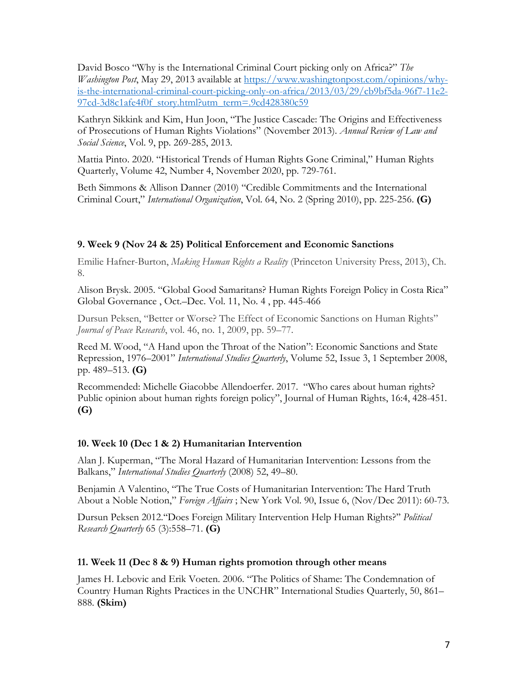David Bosco "Why is the International Criminal Court picking only on Africa?" *The Washington Post*, May 29, 2013 available at https://www.washingtonpost.com/opinions/whyis-the-international-criminal-court-picking-only-on-africa/2013/03/29/cb9bf5da-96f7-11e2- 97cd-3d8c1afe4f0f\_story.html?utm\_term=.9cd428380c59

Kathryn Sikkink and Kim, Hun Joon, "The Justice Cascade: The Origins and Effectiveness of Prosecutions of Human Rights Violations" (November 2013). *Annual Review of Law and Social Science*, Vol. 9, pp. 269-285, 2013.

Mattia Pinto. 2020. "Historical Trends of Human Rights Gone Criminal," Human Rights Quarterly, Volume 42, Number 4, November 2020, pp. 729-761.

Beth Simmons & Allison Danner (2010) "Credible Commitments and the International Criminal Court," *International Organization*, Vol. 64, No. 2 (Spring 2010), pp. 225-256. **(G)**

### **9. Week 9 (Nov 24 & 25) Political Enforcement and Economic Sanctions**

Emilie Hafner-Burton, *Making Human Rights a Reality* (Princeton University Press, 2013), Ch. 8.

Alison Brysk. 2005. "Global Good Samaritans? Human Rights Foreign Policy in Costa Rica" Global Governance , Oct.–Dec. Vol. 11, No. 4 , pp. 445-466

Dursun Peksen, "Better or Worse? The Effect of Economic Sanctions on Human Rights" *Journal of Peace Research*, vol. 46, no. 1, 2009, pp. 59–77.

Reed M. Wood, "A Hand upon the Throat of the Nation": Economic Sanctions and State Repression, 1976–2001" *International Studies Quarterly*, Volume 52, Issue 3, 1 September 2008, pp. 489–513. **(G)**

Recommended: Michelle Giacobbe Allendoerfer. 2017. "Who cares about human rights? Public opinion about human rights foreign policy", Journal of Human Rights, 16:4, 428-451. **(G)**

### **10. Week 10 (Dec 1 & 2) Humanitarian Intervention**

Alan J. Kuperman, "The Moral Hazard of Humanitarian Intervention: Lessons from the Balkans," *International Studies Quarterly* (2008) 52, 49–80.

Benjamin A Valentino, "The True Costs of Humanitarian Intervention: The Hard Truth About a Noble Notion," *Foreign Affairs* ; New York Vol. 90, Issue 6, (Nov/Dec 2011): 60-73.

Dursun Peksen 2012.''Does Foreign Military Intervention Help Human Rights?'' *Political Research Quarterly* 65 (3):558–71. **(G)**

### **11. Week 11 (Dec 8 & 9) Human rights promotion through other means**

James H. Lebovic and Erik Voeten. 2006. "The Politics of Shame: The Condemnation of Country Human Rights Practices in the UNCHR" International Studies Quarterly, 50, 861– 888. **(Skim)**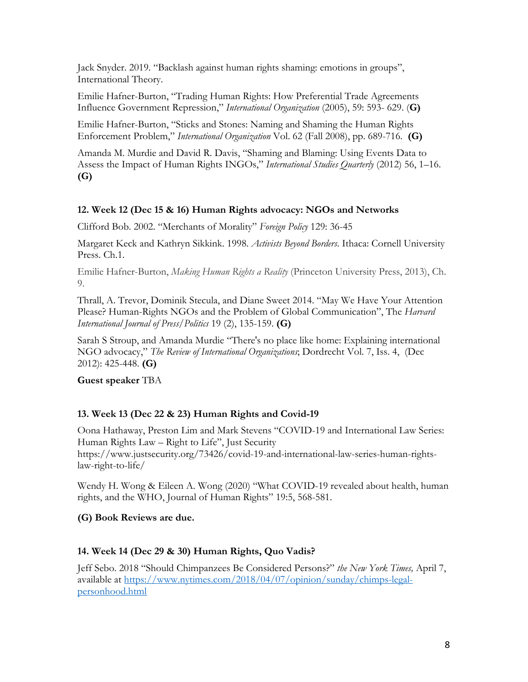Jack Snyder. 2019. "Backlash against human rights shaming: emotions in groups", International Theory.

Emilie Hafner-Burton, "Trading Human Rights: How Preferential Trade Agreements Influence Government Repression," *International Organization* (2005), 59: 593- 629. (**G)**

Emilie Hafner-Burton, "Sticks and Stones: Naming and Shaming the Human Rights Enforcement Problem," *International Organization* Vol. 62 (Fall 2008), pp. 689-716. **(G)**

Amanda M. Murdie and David R. Davis, "Shaming and Blaming: Using Events Data to Assess the Impact of Human Rights INGOs," *International Studies Quarterly* (2012) 56, 1–16. **(G)**

# **12. Week 12 (Dec 15 & 16) Human Rights advocacy: NGOs and Networks**

Clifford Bob. 2002. "Merchants of Morality" *Foreign Policy* 129: 36-45

Margaret Keck and Kathryn Sikkink. 1998. *Activists Beyond Borders*. Ithaca: Cornell University Press. Ch.1.

Emilie Hafner-Burton, *Making Human Rights a Reality* (Princeton University Press, 2013), Ch. 9.

Thrall, A. Trevor, Dominik Stecula, and Diane Sweet 2014. "May We Have Your Attention Please? Human-Rights NGOs and the Problem of Global Communication", The *Harvard International Journal of Press/Politics* 19 (2), 135-159. **(G)**

Sarah S Stroup, and Amanda Murdie "There's no place like home: Explaining international NGO advocacy," *The Review of International Organizations*; Dordrecht Vol. 7, Iss. 4, (Dec 2012): 425-448. **(G)**

**Guest speaker** TBA

# **13. Week 13 (Dec 22 & 23) Human Rights and Covid-19**

Oona Hathaway, Preston Lim and Mark Stevens "COVID-19 and International Law Series: Human Rights Law – Right to Life", Just Security https://www.justsecurity.org/73426/covid-19-and-international-law-series-human-rightslaw-right-to-life/

Wendy H. Wong & Eileen A. Wong (2020) "What COVID-19 revealed about health, human rights, and the WHO, Journal of Human Rights" 19:5, 568-581.

# **(G) Book Reviews are due.**

# **14. Week 14 (Dec 29 & 30) Human Rights, Quo Vadis?**

Jeff Sebo. 2018 "Should Chimpanzees Be Considered Persons?" *the New York Times,* April 7, available at https://www.nytimes.com/2018/04/07/opinion/sunday/chimps-legalpersonhood.html